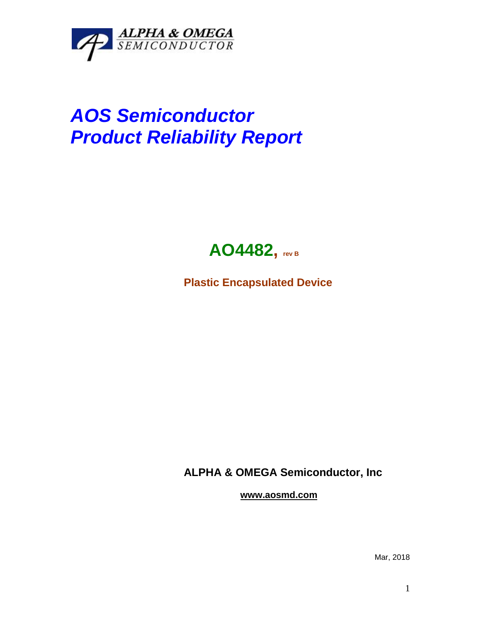

## *AOS Semiconductor Product Reliability Report*



**Plastic Encapsulated Device**

**ALPHA & OMEGA Semiconductor, Inc**

**www.aosmd.com**

Mar, 2018